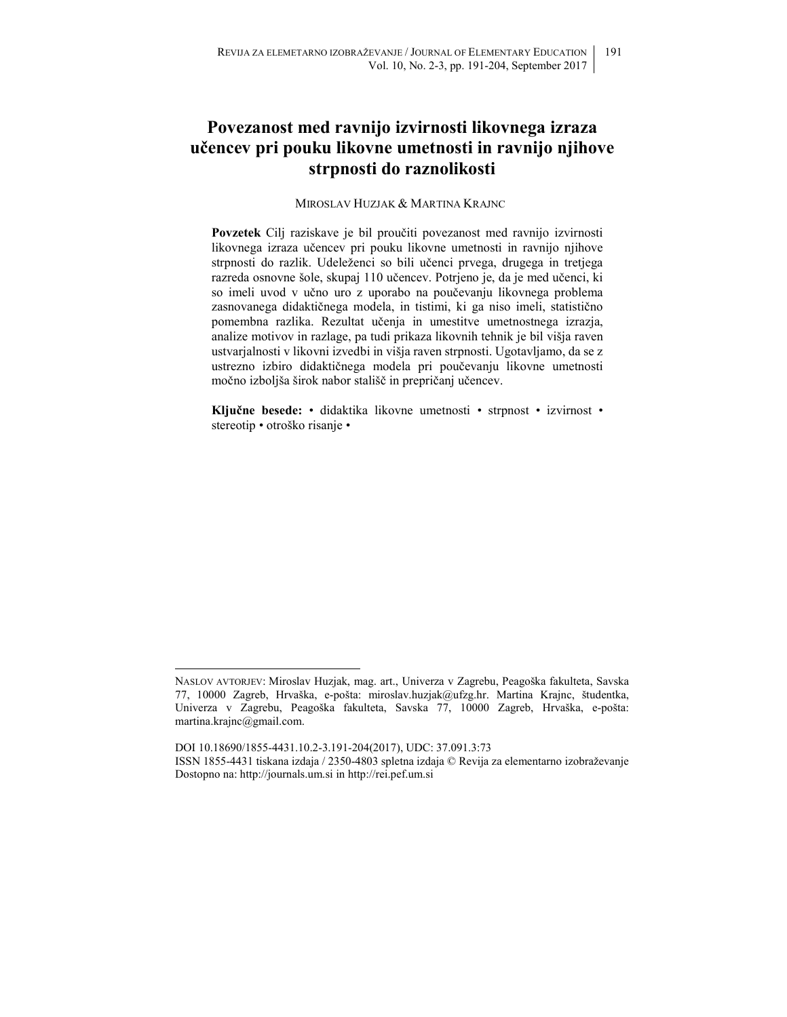# **Povezanost med ravnijo izvirnosti likovnega izraza učencev pri pouku likovne umetnosti in ravnijo njihove strpnosti do raznolikosti**

# MIROSLAV HUZJAK & MARTINA KRAJNC1

**Povzetek** Cilj raziskave je bil proučiti povezanost med ravnijo izvirnosti likovnega izraza učencev pri pouku likovne umetnosti in ravnijo njihove strpnosti do razlik. Udeleženci so bili učenci prvega, drugega in tretjega razreda osnovne šole, skupaj 110 učencev. Potrjeno je, da je med učenci, ki so imeli uvod v učno uro z uporabo na poučevanju likovnega problema zasnovanega didaktičnega modela, in tistimi, ki ga niso imeli, statistično pomembna razlika. Rezultat učenja in umestitve umetnostnega izrazja, analize motivov in razlage, pa tudi prikaza likovnih tehnik je bil višja raven ustvarjalnosti v likovni izvedbi in višja raven strpnosti. Ugotavljamo, da se z ustrezno izbiro didaktičnega modela pri poučevanju likovne umetnosti močno izboljša širok nabor stališč in prepričanj učencev.

**Ključne besede:** • didaktika likovne umetnosti • strpnost • izvirnost • stereotip • otroško risanje •

NASLOV AVTORJEV: Miroslav Huzjak, mag. art., Univerza v Zagrebu, Peagoška fakulteta, Savska 77, 10000 Zagreb, Hrvaška, e-pošta: miroslav.huzjak@ufzg.hr. Martina Krajnc, študentka, Univerza v Zagrebu, Peagoška fakulteta, Savska 77, 10000 Zagreb, Hrvaška, e-pošta: martina.krajnc@gmail.com.

DOI 10.18690/1855-4431.10.2-3.191-204(2017), UDC: 37.091.3:73 ISSN 1855-4431 tiskana izdaja / 2350-4803 spletna izdaja © Revija za elementarno izobraževanje Dostopno na: http://journals.um.si in http://rei.pef.um.si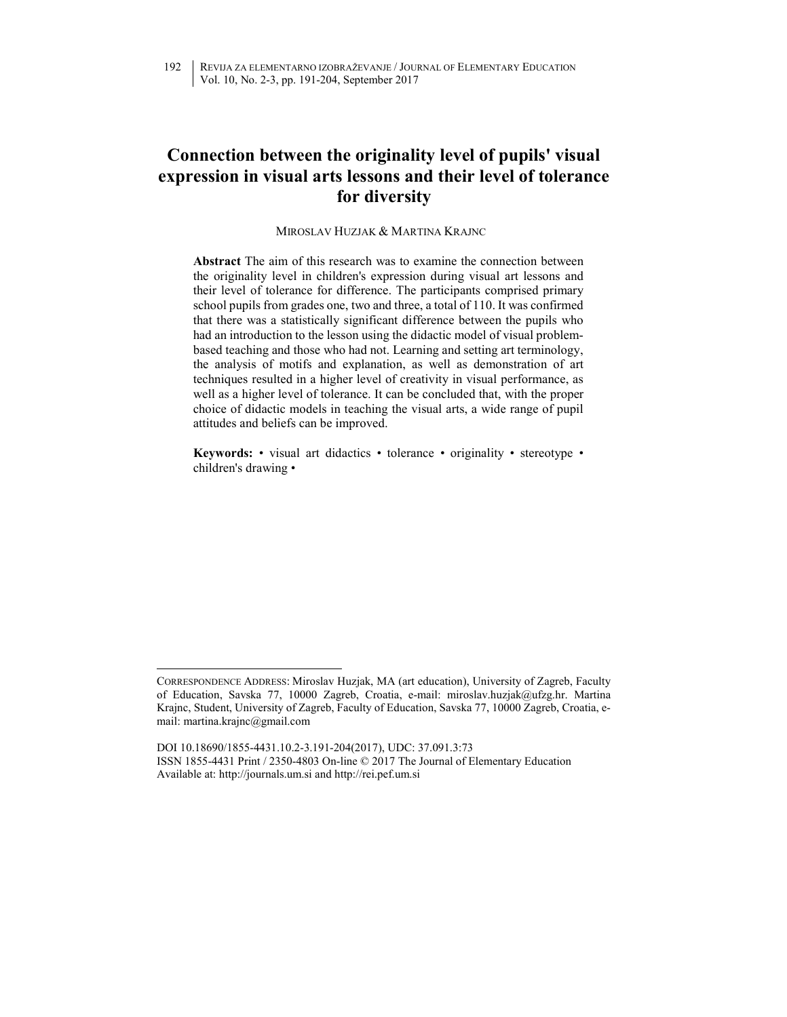# **Connection between the originality level of pupils' visual expression in visual arts lessons and their level of tolerance for diversity**

# MIROSLAV HUZJAK & MARTINA KRAJNC1

**Abstract** The aim of this research was to examine the connection between the originality level in children's expression during visual art lessons and their level of tolerance for difference. The participants comprised primary school pupils from grades one, two and three, a total of 110. It was confirmed that there was a statistically significant difference between the pupils who had an introduction to the lesson using the didactic model of visual problembased teaching and those who had not. Learning and setting art terminology, the analysis of motifs and explanation, as well as demonstration of art techniques resulted in a higher level of creativity in visual performance, as well as a higher level of tolerance. It can be concluded that, with the proper choice of didactic models in teaching the visual arts, a wide range of pupil attitudes and beliefs can be improved.

**Keywords:** • visual art didactics • tolerance • originality • stereotype • children's drawing •

CORRESPONDENCE ADDRESS: Miroslav Huzjak, MA (art education), University of Zagreb, Faculty of Education, Savska 77, 10000 Zagreb, Croatia, e-mail: miroslav.huzjak@ufzg.hr. Martina Krajnc, Student, University of Zagreb, Faculty of Education, Savska 77, 10000 Zagreb, Croatia, email: martina.krajnc@gmail.com

DOI 10.18690/1855-4431.10.2-3.191-204(2017), UDC: 37.091.3:73 ISSN 1855-4431 Print / 2350-4803 On-line © 2017 The Journal of Elementary Education Available at: http://journals.um.si and http://rei.pef.um.si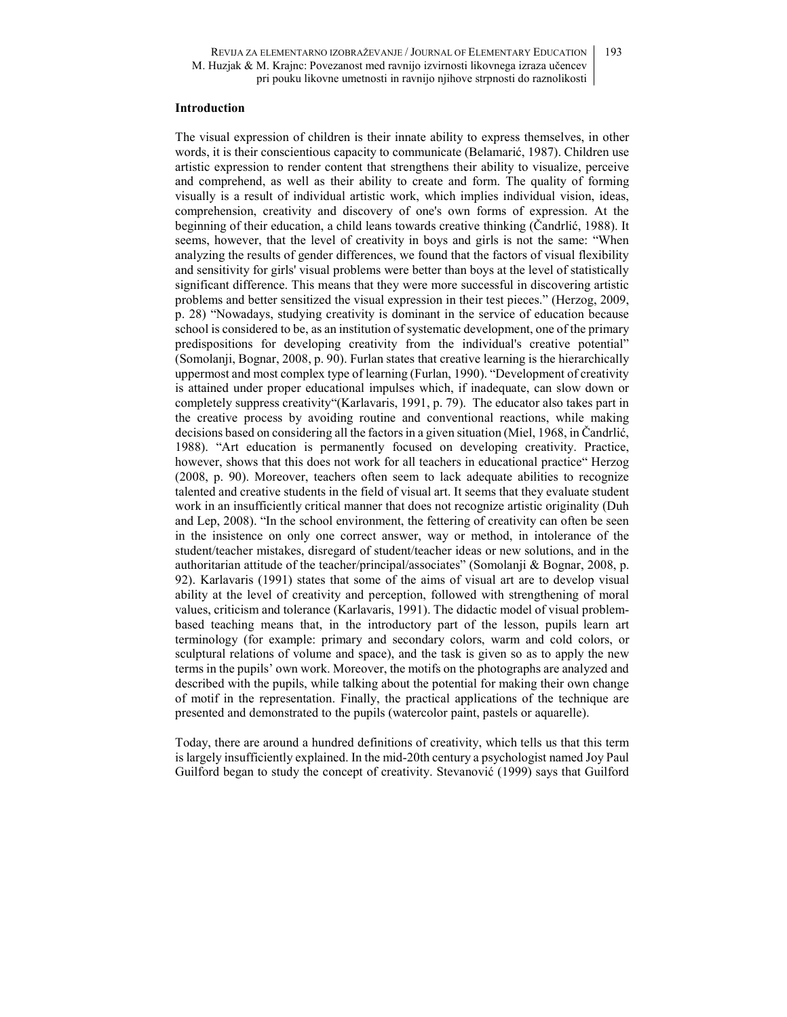### **Introduction**

The visual expression of children is their innate ability to express themselves, in other words, it is their conscientious capacity to communicate (Belamarić, 1987). Children use artistic expression to render content that strengthens their ability to visualize, perceive and comprehend, as well as their ability to create and form. The quality of forming visually is a result of individual artistic work, which implies individual vision, ideas, comprehension, creativity and discovery of one's own forms of expression. At the beginning of their education, a child leans towards creative thinking (Čandrlić, 1988). It seems, however, that the level of creativity in boys and girls is not the same: "When analyzing the results of gender differences, we found that the factors of visual flexibility and sensitivity for girls' visual problems were better than boys at the level of statistically significant difference. This means that they were more successful in discovering artistic problems and better sensitized the visual expression in their test pieces." (Herzog, 2009, p. 28) "Nowadays, studying creativity is dominant in the service of education because school is considered to be, as an institution of systematic development, one of the primary predispositions for developing creativity from the individual's creative potential" (Somolanji, Bognar, 2008, p. 90). Furlan states that creative learning is the hierarchically uppermost and most complex type of learning (Furlan, 1990). "Development of creativity is attained under proper educational impulses which, if inadequate, can slow down or completely suppress creativity"(Karlavaris, 1991, p. 79). The educator also takes part in the creative process by avoiding routine and conventional reactions, while making decisions based on considering all the factors in a given situation (Miel, 1968, in Čandrlić, 1988). "Art education is permanently focused on developing creativity. Practice, however, shows that this does not work for all teachers in educational practice" Herzog (2008, p. 90). Moreover, teachers often seem to lack adequate abilities to recognize talented and creative students in the field of visual art. It seems that they evaluate student work in an insufficiently critical manner that does not recognize artistic originality (Duh and Lep, 2008). "In the school environment, the fettering of creativity can often be seen in the insistence on only one correct answer, way or method, in intolerance of the student/teacher mistakes, disregard of student/teacher ideas or new solutions, and in the authoritarian attitude of the teacher/principal/associates" (Somolanji & Bognar, 2008, p. 92). Karlavaris (1991) states that some of the aims of visual art are to develop visual ability at the level of creativity and perception, followed with strengthening of moral values, criticism and tolerance (Karlavaris, 1991). The didactic model of visual problembased teaching means that, in the introductory part of the lesson, pupils learn art terminology (for example: primary and secondary colors, warm and cold colors, or sculptural relations of volume and space), and the task is given so as to apply the new terms in the pupils' own work. Moreover, the motifs on the photographs are analyzed and described with the pupils, while talking about the potential for making their own change of motif in the representation. Finally, the practical applications of the technique are presented and demonstrated to the pupils (watercolor paint, pastels or aquarelle).

Today, there are around a hundred definitions of creativity, which tells us that this term is largely insufficiently explained. In the mid-20th century a psychologist named Joy Paul Guilford began to study the concept of creativity. Stevanović (1999) says that Guilford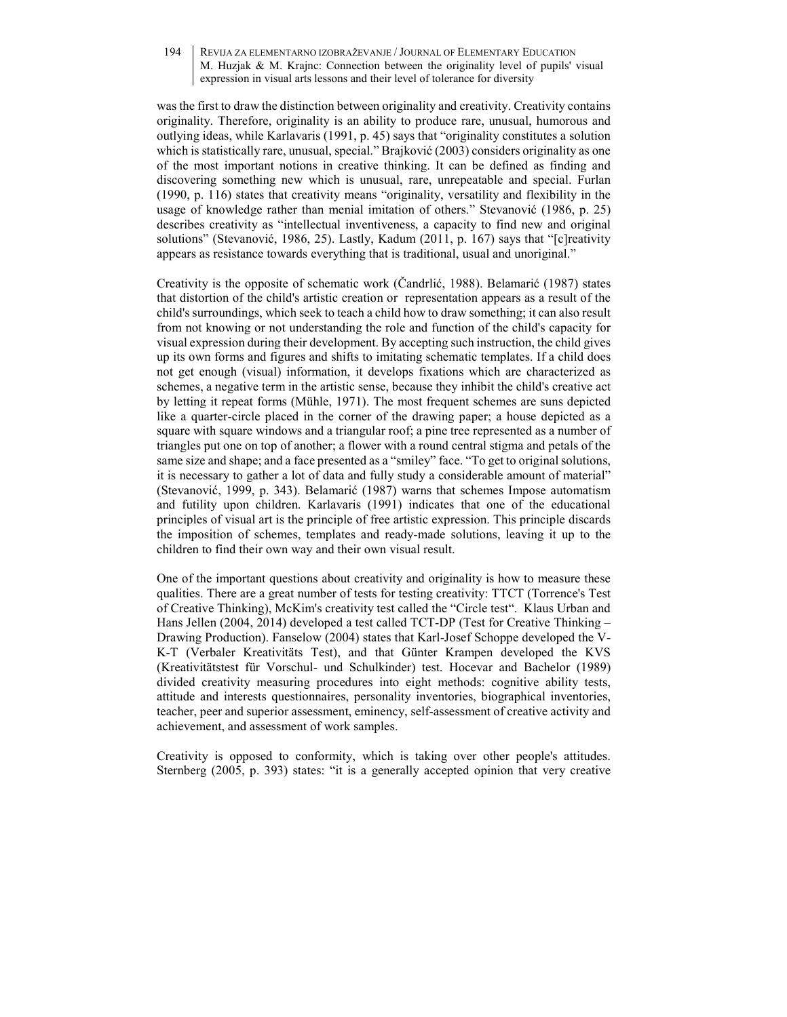was the first to draw the distinction between originality and creativity. Creativity contains originality. Therefore, originality is an ability to produce rare, unusual, humorous and outlying ideas, while Karlavaris (1991, p. 45) says that "originality constitutes a solution which is statistically rare, unusual, special." Brajković (2003) considers originality as one of the most important notions in creative thinking. It can be defined as finding and discovering something new which is unusual, rare, unrepeatable and special. Furlan (1990, p. 116) states that creativity means "originality, versatility and flexibility in the usage of knowledge rather than menial imitation of others." Stevanović (1986, p. 25) describes creativity as "intellectual inventiveness, a capacity to find new and original solutions" (Stevanović, 1986, 25). Lastly, Kadum (2011, p. 167) says that "[c]reativity appears as resistance towards everything that is traditional, usual and unoriginal."

Creativity is the opposite of schematic work (Čandrlić, 1988). Belamarić (1987) states that distortion of the child's artistic creation or representation appears as a result of the child's surroundings, which seek to teach a child how to draw something; it can also result from not knowing or not understanding the role and function of the child's capacity for visual expression during their development. By accepting such instruction, the child gives up its own forms and figures and shifts to imitating schematic templates. If a child does not get enough (visual) information, it develops fixations which are characterized as schemes, a negative term in the artistic sense, because they inhibit the child's creative act by letting it repeat forms (Mühle, 1971). The most frequent schemes are suns depicted like a quarter-circle placed in the corner of the drawing paper; a house depicted as a square with square windows and a triangular roof; a pine tree represented as a number of triangles put one on top of another; a flower with a round central stigma and petals of the same size and shape; and a face presented as a "smiley" face. "To get to original solutions, it is necessary to gather a lot of data and fully study a considerable amount of material" (Stevanović, 1999, p. 343). Belamarić (1987) warns that schemes Impose automatism and futility upon children. Karlavaris (1991) indicates that one of the educational principles of visual art is the principle of free artistic expression. This principle discards the imposition of schemes, templates and ready-made solutions, leaving it up to the children to find their own way and their own visual result.

One of the important questions about creativity and originality is how to measure these qualities. There are a great number of tests for testing creativity: TTCT (Torrence's Test of Creative Thinking), McKim's creativity test called the "Circle test". Klaus Urban and Hans Jellen (2004, 2014) developed a test called TCT-DP (Test for Creative Thinking – Drawing Production). Fanselow (2004) states that Karl-Josef Schoppe developed the V-K-T (Verbaler Kreativitäts Test), and that Günter Krampen developed the KVS (Kreativitätstest für Vorschul- und Schulkinder) test. Hocevar and Bachelor (1989) divided creativity measuring procedures into eight methods: cognitive ability tests, attitude and interests questionnaires, personality inventories, biographical inventories, teacher, peer and superior assessment, eminency, self-assessment of creative activity and achievement, and assessment of work samples.

Creativity is opposed to conformity, which is taking over other people's attitudes. Sternberg (2005, p. 393) states: "it is a generally accepted opinion that very creative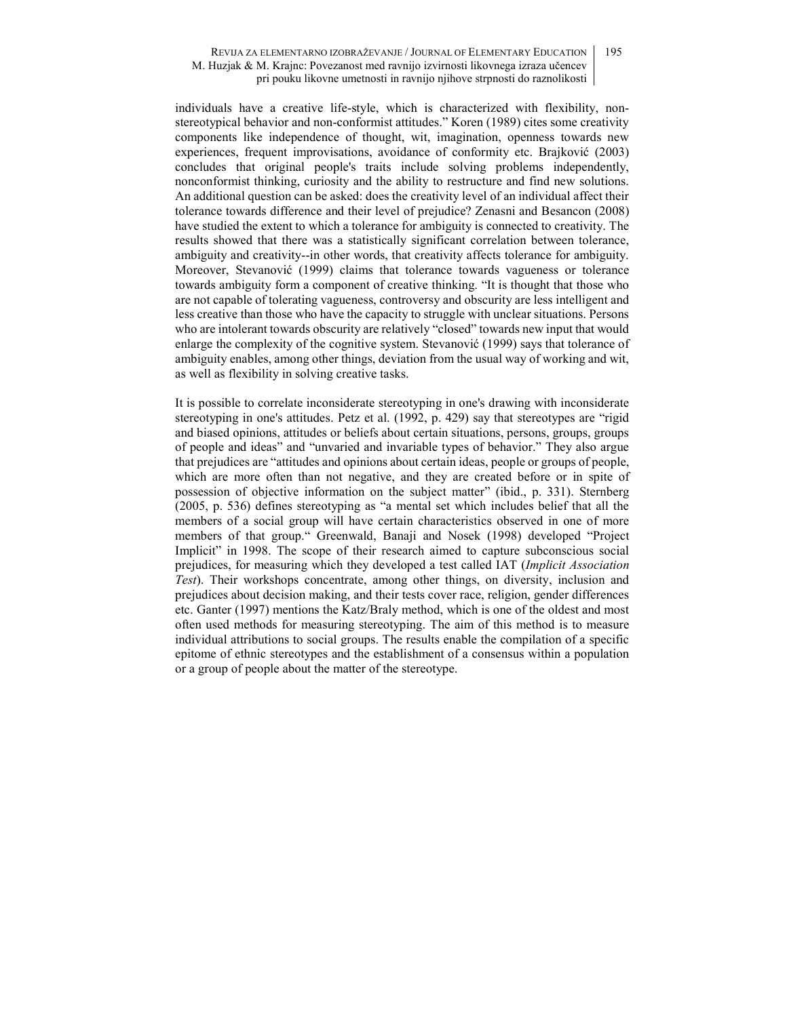#### REVIJA ZA ELEMENTARNO IZOBRAŽEVANJE / JOURNAL OF ELEMENTARY EDUCATION M. Huzjak & M. Krajnc: Povezanost med ravnijo izvirnosti likovnega izraza učencev pri pouku likovne umetnosti in ravnijo njihove strpnosti do raznolikosti 195

individuals have a creative life-style, which is characterized with flexibility, nonstereotypical behavior and non-conformist attitudes." Koren (1989) cites some creativity components like independence of thought, wit, imagination, openness towards new experiences, frequent improvisations, avoidance of conformity etc. Brajković (2003) concludes that original people's traits include solving problems independently, nonconformist thinking, curiosity and the ability to restructure and find new solutions. An additional question can be asked: does the creativity level of an individual affect their tolerance towards difference and their level of prejudice? Zenasni and Besancon (2008) have studied the extent to which a tolerance for ambiguity is connected to creativity. The results showed that there was a statistically significant correlation between tolerance, ambiguity and creativity--in other words, that creativity affects tolerance for ambiguity. Moreover, Stevanović (1999) claims that tolerance towards vagueness or tolerance towards ambiguity form a component of creative thinking. "It is thought that those who are not capable of tolerating vagueness, controversy and obscurity are less intelligent and less creative than those who have the capacity to struggle with unclear situations. Persons who are intolerant towards obscurity are relatively "closed" towards new input that would enlarge the complexity of the cognitive system. Stevanović (1999) says that tolerance of ambiguity enables, among other things, deviation from the usual way of working and wit, as well as flexibility in solving creative tasks.

It is possible to correlate inconsiderate stereotyping in one's drawing with inconsiderate stereotyping in one's attitudes. Petz et al. (1992, p. 429) say that stereotypes are "rigid and biased opinions, attitudes or beliefs about certain situations, persons, groups, groups of people and ideas" and "unvaried and invariable types of behavior." They also argue that prejudices are "attitudes and opinions about certain ideas, people or groups of people, which are more often than not negative, and they are created before or in spite of possession of objective information on the subject matter" (ibid., p. 331). Sternberg (2005, p. 536) defines stereotyping as "a mental set which includes belief that all the members of a social group will have certain characteristics observed in one of more members of that group." Greenwald, Banaji and Nosek (1998) developed "Project Implicit" in 1998. The scope of their research aimed to capture subconscious social prejudices, for measuring which they developed a test called IAT (*Implicit Association Test*). Their workshops concentrate, among other things, on diversity, inclusion and prejudices about decision making, and their tests cover race, religion, gender differences etc. Ganter (1997) mentions the Katz/Braly method, which is one of the oldest and most often used methods for measuring stereotyping. The aim of this method is to measure individual attributions to social groups. The results enable the compilation of a specific epitome of ethnic stereotypes and the establishment of a consensus within a population or a group of people about the matter of the stereotype.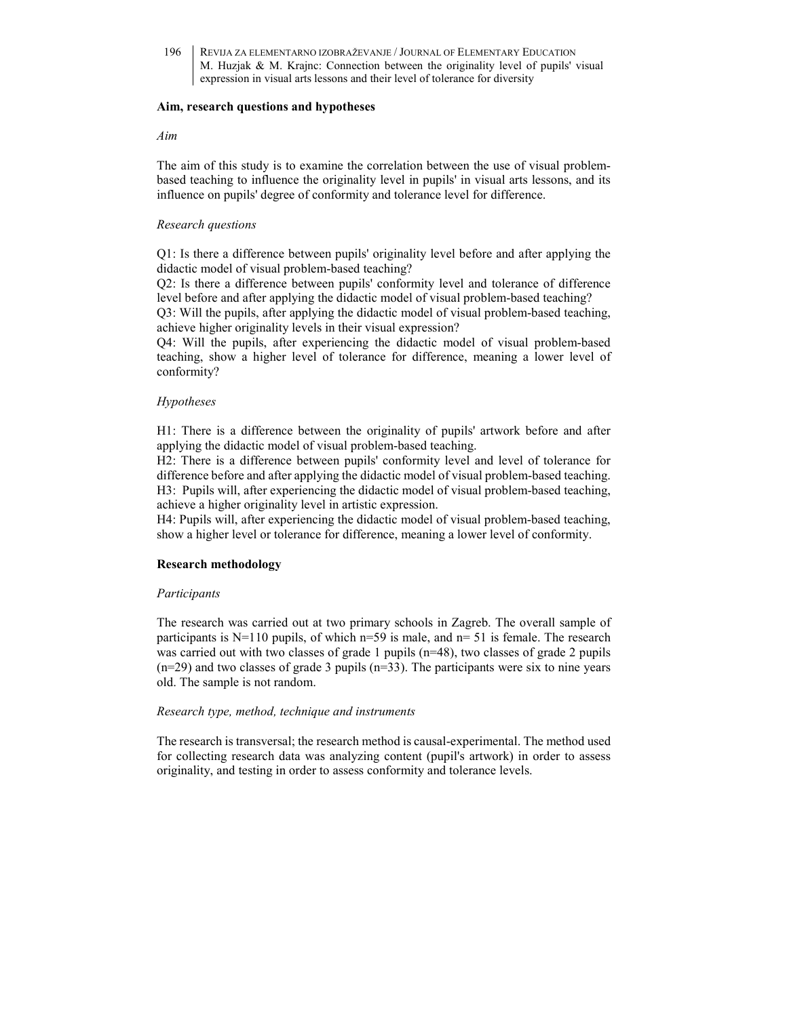# **Aim, research questions and hypotheses**

### *Aim*

The aim of this study is to examine the correlation between the use of visual problembased teaching to influence the originality level in pupils' in visual arts lessons, and its influence on pupils' degree of conformity and tolerance level for difference.

# *Research questions*

Q1: Is there a difference between pupils' originality level before and after applying the didactic model of visual problem-based teaching?

Q2: Is there a difference between pupils' conformity level and tolerance of difference level before and after applying the didactic model of visual problem-based teaching?

Q3: Will the pupils, after applying the didactic model of visual problem-based teaching, achieve higher originality levels in their visual expression?

Q4: Will the pupils, after experiencing the didactic model of visual problem-based teaching, show a higher level of tolerance for difference, meaning a lower level of conformity?

# *Hypotheses*

H1: There is a difference between the originality of pupils' artwork before and after applying the didactic model of visual problem-based teaching.

H2: There is a difference between pupils' conformity level and level of tolerance for difference before and after applying the didactic model of visual problem-based teaching. H3: Pupils will, after experiencing the didactic model of visual problem-based teaching, achieve a higher originality level in artistic expression.

H4: Pupils will, after experiencing the didactic model of visual problem-based teaching, show a higher level or tolerance for difference, meaning a lower level of conformity.

### **Research methodology**

### *Participants*

The research was carried out at two primary schools in Zagreb. The overall sample of participants is  $N=110$  pupils, of which n=59 is male, and n= 51 is female. The research was carried out with two classes of grade 1 pupils (n=48), two classes of grade 2 pupils  $(n=29)$  and two classes of grade 3 pupils  $(n=33)$ . The participants were six to nine years old. The sample is not random.

### *Research type, method, technique and instruments*

The research is transversal; the research method is causal-experimental. The method used for collecting research data was analyzing content (pupil's artwork) in order to assess originality, and testing in order to assess conformity and tolerance levels.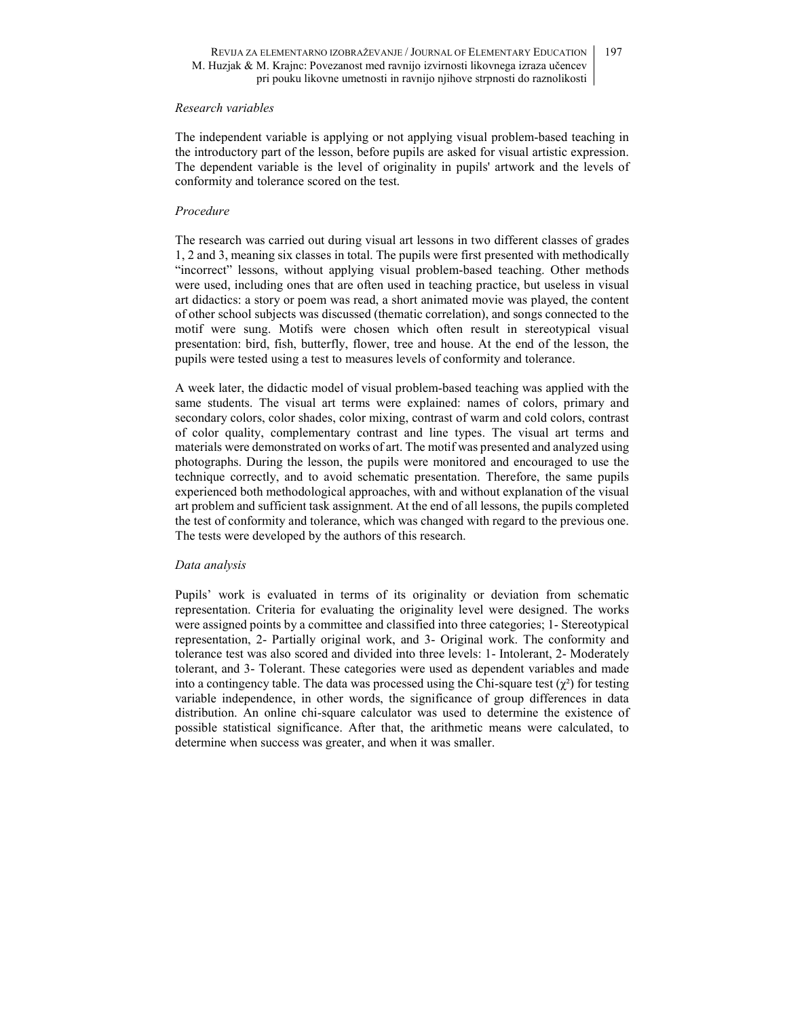#### REVIJA ZA ELEMENTARNO IZOBRAŽEVANJE / JOURNAL OF ELEMENTARY EDUCATION M. Huzjak & M. Krajnc: Povezanost med ravnijo izvirnosti likovnega izraza učencev pri pouku likovne umetnosti in ravnijo njihove strpnosti do raznolikosti 197

### *Research variables*

The independent variable is applying or not applying visual problem-based teaching in the introductory part of the lesson, before pupils are asked for visual artistic expression. The dependent variable is the level of originality in pupils' artwork and the levels of conformity and tolerance scored on the test.

# *Procedure*

The research was carried out during visual art lessons in two different classes of grades 1, 2 and 3, meaning six classes in total. The pupils were first presented with methodically "incorrect" lessons, without applying visual problem-based teaching. Other methods were used, including ones that are often used in teaching practice, but useless in visual art didactics: a story or poem was read, a short animated movie was played, the content of other school subjects was discussed (thematic correlation), and songs connected to the motif were sung. Motifs were chosen which often result in stereotypical visual presentation: bird, fish, butterfly, flower, tree and house. At the end of the lesson, the pupils were tested using a test to measures levels of conformity and tolerance.

A week later, the didactic model of visual problem-based teaching was applied with the same students. The visual art terms were explained: names of colors, primary and secondary colors, color shades, color mixing, contrast of warm and cold colors, contrast of color quality, complementary contrast and line types. The visual art terms and materials were demonstrated on works of art. The motif was presented and analyzed using photographs. During the lesson, the pupils were monitored and encouraged to use the technique correctly, and to avoid schematic presentation. Therefore, the same pupils experienced both methodological approaches, with and without explanation of the visual art problem and sufficient task assignment. At the end of all lessons, the pupils completed the test of conformity and tolerance, which was changed with regard to the previous one. The tests were developed by the authors of this research.

### *Data analysis*

Pupils' work is evaluated in terms of its originality or deviation from schematic representation. Criteria for evaluating the originality level were designed. The works were assigned points by a committee and classified into three categories; 1- Stereotypical representation, 2- Partially original work, and 3- Original work. The conformity and tolerance test was also scored and divided into three levels: 1- Intolerant, 2- Moderately tolerant, and 3- Tolerant. These categories were used as dependent variables and made into a contingency table. The data was processed using the Chi-square test  $(\chi^2)$  for testing variable independence, in other words, the significance of group differences in data distribution. An online chi-square calculator was used to determine the existence of possible statistical significance. After that, the arithmetic means were calculated, to determine when success was greater, and when it was smaller.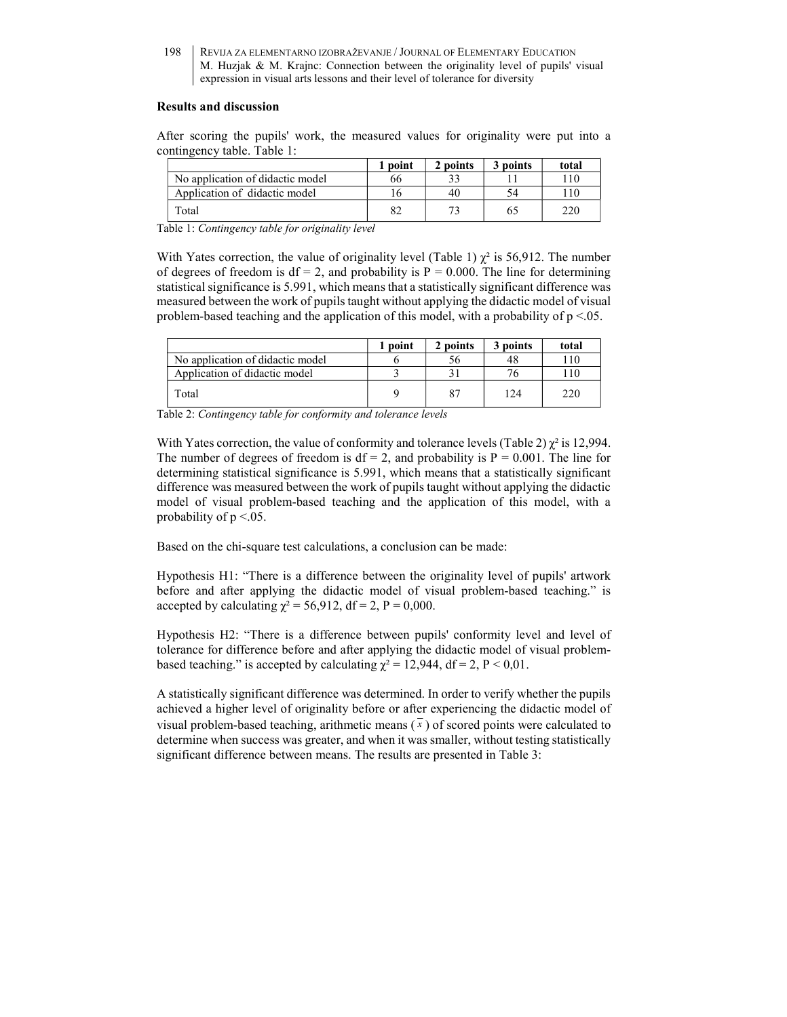# **Results and discussion**

After scoring the pupils' work, the measured values for originality were put into a contingency table. Table 1:

|                                  | 1 point | 2 points | 3 points | total |
|----------------------------------|---------|----------|----------|-------|
| No application of didactic model | 66      |          |          |       |
| Application of didactic model    | .6      | 40       | 54       |       |
| Total                            |         |          | 65       | 220   |

Table 1: *Contingency table for originality level*

With Yates correction, the value of originality level (Table 1)  $\chi^2$  is 56,912. The number of degrees of freedom is  $df = 2$ , and probability is  $P = 0.000$ . The line for determining statistical significance is 5.991, which means that a statistically significant difference was measured between the work of pupils taught without applying the didactic model of visual problem-based teaching and the application of this model, with a probability of  $p < 0.05$ .

|                                  | 1 point | 2 points | 3 points | total |
|----------------------------------|---------|----------|----------|-------|
| No application of didactic model |         | 56       | 48       | 10    |
| Application of didactic model    |         |          | 76       |       |
| Total                            |         | 87       | 124      | 220   |

Table 2: *Contingency table for conformity and tolerance levels* 

With Yates correction, the value of conformity and tolerance levels (Table 2)  $\chi^2$  is 12,994. The number of degrees of freedom is  $df = 2$ , and probability is  $P = 0.001$ . The line for determining statistical significance is 5.991, which means that a statistically significant difference was measured between the work of pupils taught without applying the didactic model of visual problem-based teaching and the application of this model, with a probability of  $p \le 0.05$ .

Based on the chi-square test calculations, a conclusion can be made:

Hypothesis H1: "There is a difference between the originality level of pupils' artwork before and after applying the didactic model of visual problem-based teaching." is accepted by calculating  $\chi^2 = 56,912$ , df = 2, P = 0,000.

Hypothesis H2: "There is a difference between pupils' conformity level and level of tolerance for difference before and after applying the didactic model of visual problembased teaching." is accepted by calculating  $\chi^2 = 12,944$ , df = 2, P < 0,01.

A statistically significant difference was determined. In order to verify whether the pupils achieved a higher level of originality before or after experiencing the didactic model of visual problem-based teaching, arithmetic means  $(\overline{x})$  of scored points were calculated to determine when success was greater, and when it was smaller, without testing statistically significant difference between means. The results are presented in Table 3: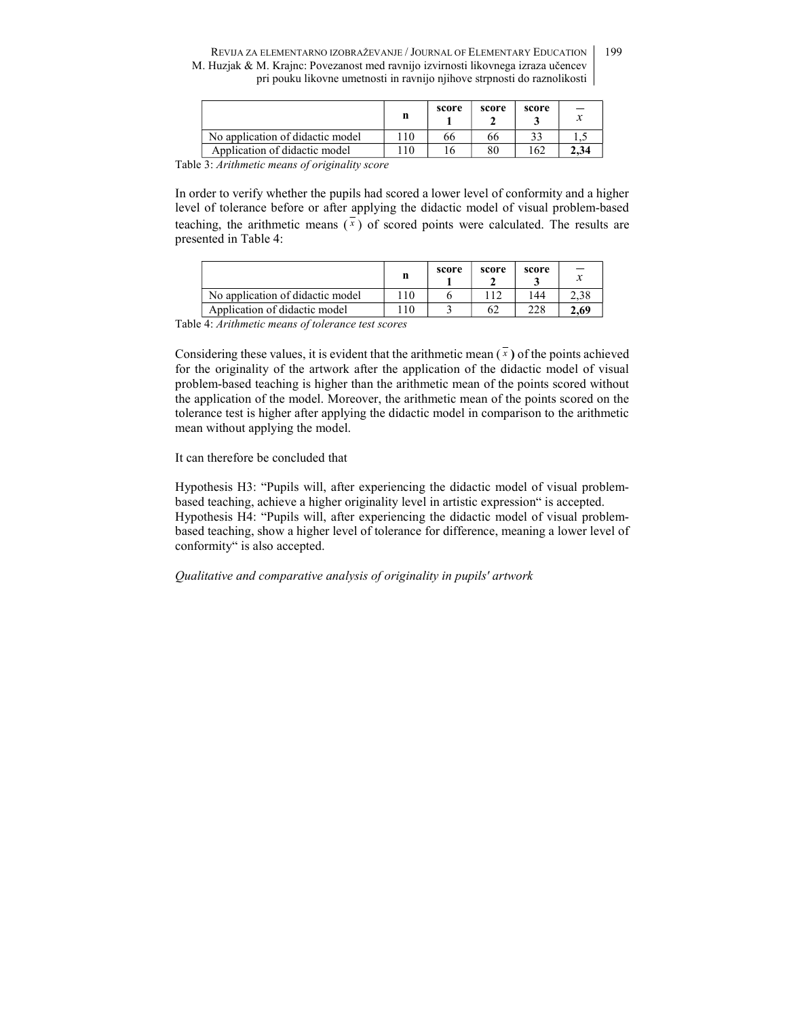#### REVIJA ZA ELEMENTARNO IZOBRAŽEVANJE / JOURNAL OF ELEMENTARY EDUCATION M. Huzjak & M. Krajnc: Povezanost med ravnijo izvirnosti likovnega izraza učencev pri pouku likovne umetnosti in ravnijo njihove strpnosti do raznolikosti 199

|                                  | n | score | score | score |  |
|----------------------------------|---|-------|-------|-------|--|
| No application of didactic model |   | იი    | hh    |       |  |
| Application of didactic model    |   |       | 80    |       |  |

Table 3: *Arithmetic means of originality score* 

In order to verify whether the pupils had scored a lower level of conformity and a higher level of tolerance before or after applying the didactic model of visual problem-based teaching, the arithmetic means  $(\overline{x})$  of scored points were calculated. The results are presented in Table 4:

|                                  | n               | score | score | score |      |
|----------------------------------|-----------------|-------|-------|-------|------|
| No application of didactic model | 10              |       | 117   | 144   |      |
| Application of didactic model    | $\overline{10}$ |       | 62    | 228   | 2.69 |

Table 4: *Arithmetic means of tolerance test scores* 

Considering these values, it is evident that the arithmetic mean  $(\overline{x})$  of the points achieved for the originality of the artwork after the application of the didactic model of visual problem-based teaching is higher than the arithmetic mean of the points scored without the application of the model. Moreover, the arithmetic mean of the points scored on the tolerance test is higher after applying the didactic model in comparison to the arithmetic mean without applying the model.

It can therefore be concluded that

Hypothesis H3: "Pupils will, after experiencing the didactic model of visual problembased teaching, achieve a higher originality level in artistic expression" is accepted. Hypothesis H4: "Pupils will, after experiencing the didactic model of visual problembased teaching, show a higher level of tolerance for difference, meaning a lower level of conformity" is also accepted.

*Qualitative and comparative analysis of originality in pupils' artwork*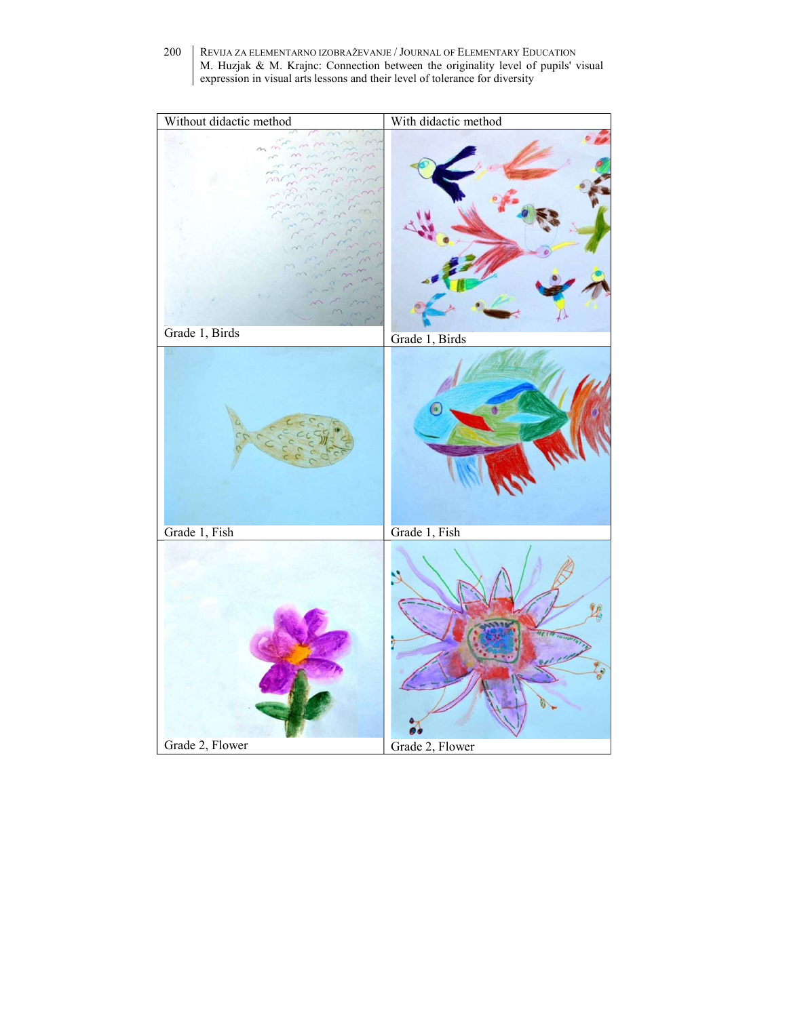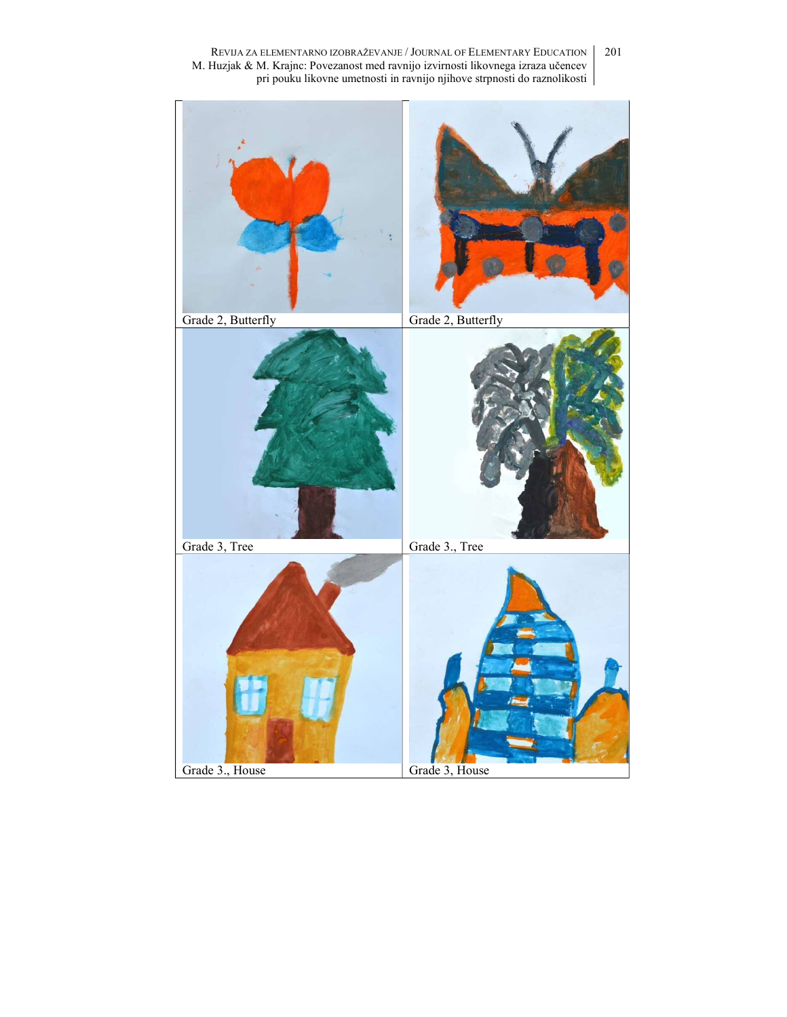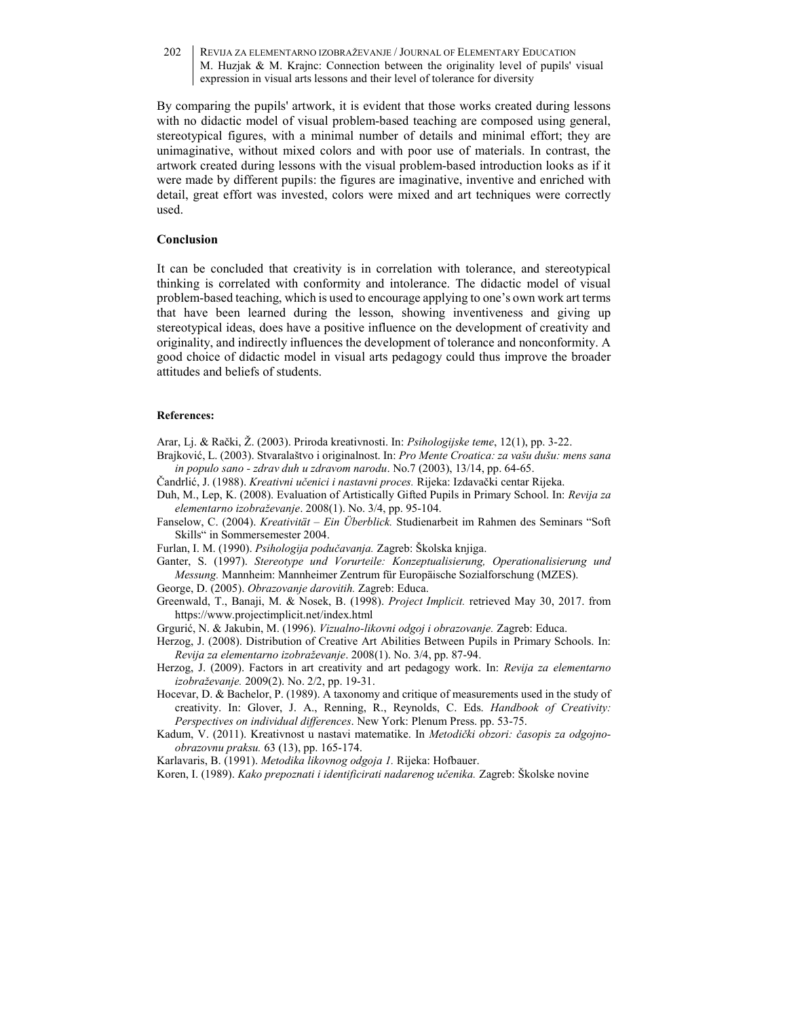By comparing the pupils' artwork, it is evident that those works created during lessons with no didactic model of visual problem-based teaching are composed using general, stereotypical figures, with a minimal number of details and minimal effort; they are unimaginative, without mixed colors and with poor use of materials. In contrast, the artwork created during lessons with the visual problem-based introduction looks as if it were made by different pupils: the figures are imaginative, inventive and enriched with detail, great effort was invested, colors were mixed and art techniques were correctly used.

### **Conclusion**

It can be concluded that creativity is in correlation with tolerance, and stereotypical thinking is correlated with conformity and intolerance. The didactic model of visual problem-based teaching, which is used to encourage applying to one's own work art terms that have been learned during the lesson, showing inventiveness and giving up stereotypical ideas, does have a positive influence on the development of creativity and originality, and indirectly influences the development of tolerance and nonconformity. A good choice of didactic model in visual arts pedagogy could thus improve the broader attitudes and beliefs of students.

### **References:**

Arar, Lj. & Rački, Ž. (2003). Priroda kreativnosti. In: *Psihologijske teme*, 12(1), pp. 3-22.

- Brajković, L. (2003). Stvaralaštvo i originalnost. In: *Pro Mente Croatica: za vašu dušu: mens sana in populo sano - zdrav duh u zdravom narodu*. No.7 (2003), 13/14, pp. 64-65.
- Čandrlić, J. (1988). *Kreativni učenici i nastavni proces.* Rijeka: Izdavački centar Rijeka.
- Duh, M., Lep, K. (2008). Evaluation of Artistically Gifted Pupils in Primary School. In: *Revija za elementarno izobraževanje*. 2008(1). No. 3/4, pp. 95-104.
- Fanselow, C. (2004). *Kreativität Ein Überblick.* Studienarbeit im Rahmen des Seminars "Soft Skills" in Sommersemester 2004.
- Furlan, I. M. (1990). *Psihologija podučavanja.* Zagreb: Školska knjiga.
- Ganter, S. (1997). *Stereotype und Vorurteile: Konzeptualisierung, Operationalisierung und Messung.* Mannheim: Mannheimer Zentrum für Europäische Sozialforschung (MZES).

George, D. (2005). *Obrazovanje darovitih.* Zagreb: Educa.

- Greenwald, T., Banaji, M. & Nosek, B. (1998). *Project Implicit.* retrieved May 30, 2017. from https://www.projectimplicit.net/index.html
- Grgurić, N. & Jakubin, M. (1996). *Vizualno-likovni odgoj i obrazovanje.* Zagreb: Educa.
- Herzog, J. (2008). Distribution of Creative Art Abilities Between Pupils in Primary Schools. In: *Revija za elementarno izobraževanje*. 2008(1). No. 3/4, pp. 87-94.
- Herzog, J. (2009). Factors in art creativity and art pedagogy work. In: *Revija za elementarno izobraževanje.* 2009(2). No. 2/2, pp. 19-31.
- Hocevar, D. & Bachelor, P. (1989). A taxonomy and critique of measurements used in the study of creativity. In: Glover, J. A., Renning, R., Reynolds, C. Eds. *Handbook of Creativity: Perspectives on individual differences*. New York: Plenum Press. pp. 53-75.
- Kadum, V. (2011). Kreativnost u nastavi matematike. In *Metodički obzori: časopis za odgojnoobrazovnu praksu.* 63 (13), pp. 165-174.
- Karlavaris, B. (1991). *Metodika likovnog odgoja 1.* Rijeka: Hofbauer.
- Koren, I. (1989). *Kako prepoznati i identificirati nadarenog učenika.* Zagreb: Školske novine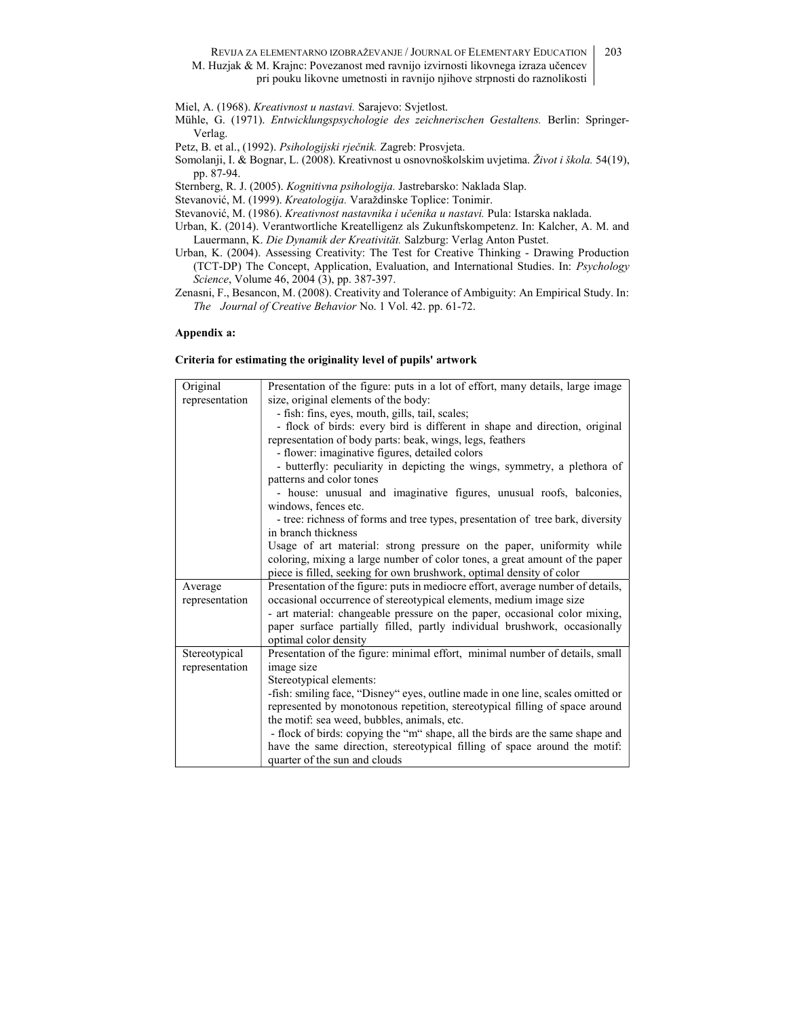REVIJA ZA ELEMENTARNO IZOBRAŽEVANJE / JOURNAL OF ELEMENTARY EDUCATION 203

M. Huzjak & M. Krajnc: Povezanost med ravnijo izvirnosti likovnega izraza učencev pri pouku likovne umetnosti in ravnijo njihove strpnosti do raznolikosti

Mühle, G. (1971). *Entwicklungspsychologie des zeichnerischen Gestaltens.* Berlin: Springer-Verlag.

Petz, B. et al., (1992). *Psihologijski rječnik.* Zagreb: Prosvjeta.

Somolanji, I. & Bognar, L. (2008). Kreativnost u osnovnoškolskim uvjetima. *Život i škola.* 54(19), pp. 87-94.

Sternberg, R. J. (2005). *Kognitivna psihologija.* Jastrebarsko: Naklada Slap.

Stevanović, M. (1999). *Kreatologija.* Varaždinske Toplice: Tonimir.

Stevanović, M. (1986). *Kreativnost nastavnika i učenika u nastavi.* Pula: Istarska naklada.

Urban, K. (2014). Verantwortliche Kreatelligenz als Zukunftskompetenz. In: Kalcher, A. M. and Lauermann, K. *Die Dynamik der Kreativität.* Salzburg: Verlag Anton Pustet.

- Urban, K. (2004). Assessing Creativity: The Test for Creative Thinking Drawing Production (TCT-DP) The Concept, Application, Evaluation, and International Studies. In: *Psychology Science*, Volume 46, 2004 (3), pp. 387-397.
- Zenasni, F., Besancon, M. (2008). Creativity and Tolerance of Ambiguity: An Empirical Study. In: *The Journal of Creative Behavior* No. 1 Vol. 42. pp. 61-72.

### **Appendix a:**

### **Criteria for estimating the originality level of pupils' artwork**

| Original       | Presentation of the figure: puts in a lot of effort, many details, large image  |  |  |  |
|----------------|---------------------------------------------------------------------------------|--|--|--|
| representation | size, original elements of the body:                                            |  |  |  |
|                | - fish: fins, eyes, mouth, gills, tail, scales;                                 |  |  |  |
|                | - flock of birds: every bird is different in shape and direction, original      |  |  |  |
|                | representation of body parts: beak, wings, legs, feathers                       |  |  |  |
|                | - flower: imaginative figures, detailed colors                                  |  |  |  |
|                | - butterfly: peculiarity in depicting the wings, symmetry, a plethora of        |  |  |  |
|                | patterns and color tones                                                        |  |  |  |
|                | - house: unusual and imaginative figures, unusual roofs, balconies,             |  |  |  |
|                | windows, fences etc.                                                            |  |  |  |
|                | - tree: richness of forms and tree types, presentation of tree bark, diversity  |  |  |  |
|                | in branch thickness                                                             |  |  |  |
|                | Usage of art material: strong pressure on the paper, uniformity while           |  |  |  |
|                | coloring, mixing a large number of color tones, a great amount of the paper     |  |  |  |
|                | piece is filled, seeking for own brushwork, optimal density of color            |  |  |  |
| Average        | Presentation of the figure: puts in mediocre effort, average number of details, |  |  |  |
| representation | occasional occurrence of stereotypical elements, medium image size              |  |  |  |
|                | - art material: changeable pressure on the paper, occasional color mixing,      |  |  |  |
|                | paper surface partially filled, partly individual brushwork, occasionally       |  |  |  |
|                | optimal color density                                                           |  |  |  |
| Stereotypical  | Presentation of the figure: minimal effort, minimal number of details, small    |  |  |  |
| representation | image size                                                                      |  |  |  |
|                | Stereotypical elements:                                                         |  |  |  |
|                | -fish: smiling face, "Disney" eyes, outline made in one line, scales omitted or |  |  |  |
|                | represented by monotonous repetition, stereotypical filling of space around     |  |  |  |
|                | the motif: sea weed, bubbles, animals, etc.                                     |  |  |  |
|                | - flock of birds: copying the "m" shape, all the birds are the same shape and   |  |  |  |
|                | have the same direction, stereotypical filling of space around the motif:       |  |  |  |
|                | quarter of the sun and clouds                                                   |  |  |  |

Miel, A. (1968). *Kreativnost u nastavi.* Sarajevo: Svjetlost.